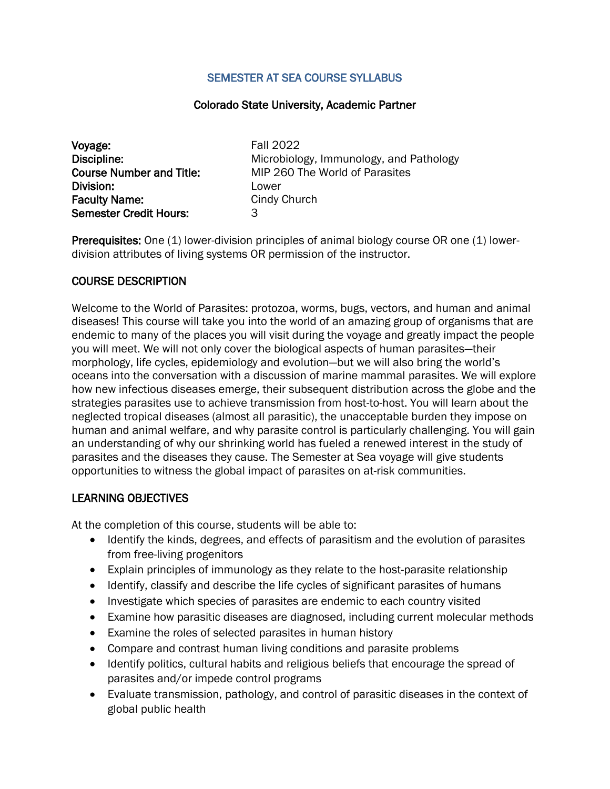## SEMESTER AT SEA COURSE SYLLABUS

#### Colorado State University, Academic Partner

| Voyage:                         | F. |
|---------------------------------|----|
| Discipline:                     | N  |
| <b>Course Number and Title:</b> | N  |
| Division:                       | ۱. |
| <b>Faculty Name:</b>            | С  |
| <b>Semester Credit Hours:</b>   | 3  |

Fall 2022 Microbiology, Immunology, and Pathology MIP 260 The World of Parasites Lower Cindy Church

Prerequisites: One (1) lower-division principles of animal biology course OR one (1) lowerdivision attributes of living systems OR permission of the instructor.

#### COURSE DESCRIPTION

Welcome to the World of Parasites: protozoa, worms, bugs, vectors, and human and animal diseases! This course will take you into the world of an amazing group of organisms that are endemic to many of the places you will visit during the voyage and greatly impact the people you will meet. We will not only cover the biological aspects of human parasites—their morphology, life cycles, epidemiology and evolution—but we will also bring the world's oceans into the conversation with a discussion of marine mammal parasites. We will explore how new infectious diseases emerge, their subsequent distribution across the globe and the strategies parasites use to achieve transmission from host-to-host. You will learn about the neglected tropical diseases (almost all parasitic), the unacceptable burden they impose on human and animal welfare, and why parasite control is particularly challenging. You will gain an understanding of why our shrinking world has fueled a renewed interest in the study of parasites and the diseases they cause. The Semester at Sea voyage will give students opportunities to witness the global impact of parasites on at-risk communities.

## LEARNING OBJECTIVES

At the completion of this course, students will be able to:

- Identify the kinds, degrees, and effects of parasitism and the evolution of parasites from free-living progenitors
- Explain principles of immunology as they relate to the host-parasite relationship
- Identify, classify and describe the life cycles of significant parasites of humans
- Investigate which species of parasites are endemic to each country visited
- Examine how parasitic diseases are diagnosed, including current molecular methods
- Examine the roles of selected parasites in human history
- Compare and contrast human living conditions and parasite problems
- Identify politics, cultural habits and religious beliefs that encourage the spread of parasites and/or impede control programs
- Evaluate transmission, pathology, and control of parasitic diseases in the context of global public health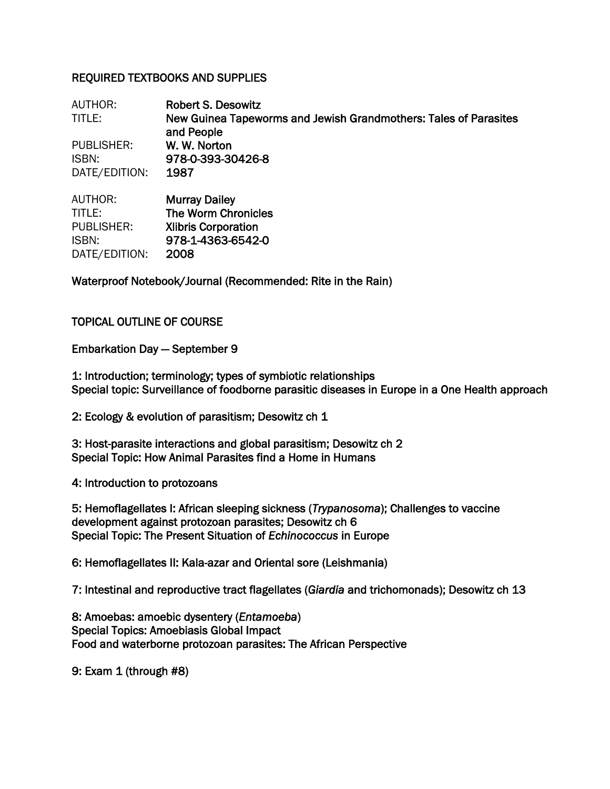#### REQUIRED TEXTBOOKS AND SUPPLIES

AUTHOR: Robert S. Desowitz TITLE: New Guinea Tapeworms and Jewish Grandmothers: Tales of Parasites and People PUBLISHER: W. W. Norton ISBN: 978-0-393-30426-8 DATE/EDITION: 1987

| AUTHOR:           | <b>Murray Dailey</b>       |
|-------------------|----------------------------|
| TITI F:           | <b>The Worm Chronicles</b> |
| <b>PUBLISHER:</b> | <b>Xlibris Corporation</b> |
| ISBN:             | 978-1-4363-6542-0          |
| DATE/EDITION:     | 2008                       |

Waterproof Notebook/Journal (Recommended: Rite in the Rain)

#### TOPICAL OUTLINE OF COURSE

Embarkation Day — September 9

1: Introduction; terminology; types of symbiotic relationships Special topic: Surveillance of foodborne parasitic diseases in Europe in a One Health approach

2: Ecology & evolution of parasitism; Desowitz ch 1

3: Host-parasite interactions and global parasitism; Desowitz ch 2 Special Topic: How Animal Parasites find a Home in Humans

4: Introduction to protozoans

5: Hemoflagellates I: African sleeping sickness (*Trypanosoma*); Challenges to vaccine development against protozoan parasites; Desowitz ch 6 Special Topic: The Present Situation of *Echinococcus* in Europe

6: Hemoflagellates II: Kala-azar and Oriental sore (Leishmania)

7: Intestinal and reproductive tract flagellates(*Giardia* and trichomonads); Desowitz ch 13

8: Amoebas: amoebic dysentery (*Entamoeba*) Special Topics: Amoebiasis Global Impact Food and waterborne protozoan parasites: The African Perspective

9: Exam 1 (through #8)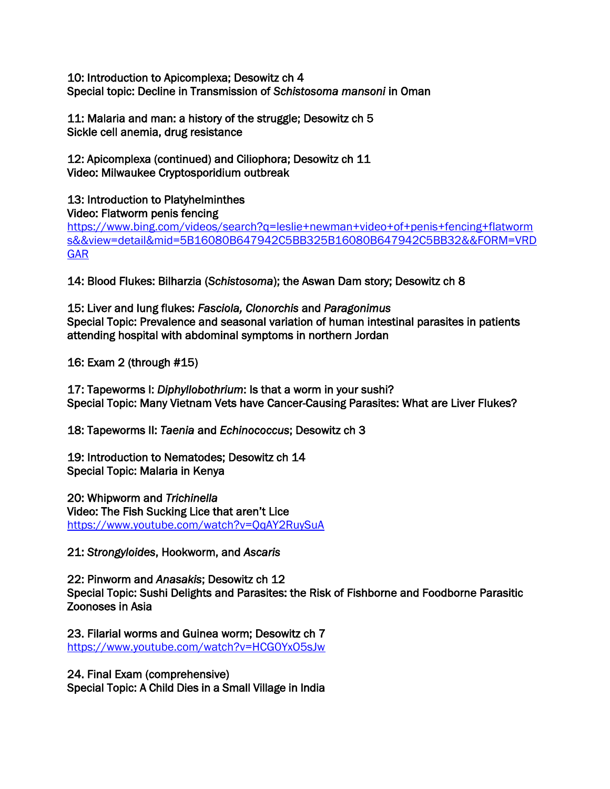10: Introduction to Apicomplexa; Desowitz ch 4 Special topic: Decline in Transmission of *Schistosoma mansoni* in Oman

11: Malaria and man: a history of the struggle; Desowitz ch 5 Sickle cell anemia, drug resistance

12: Apicomplexa (continued) and Ciliophora; Desowitz ch 11 Video: Milwaukee Cryptosporidium outbreak

#### 13: Introduction to Platyhelminthes Video: Flatworm penis fencing

[https://www.bing.com/videos/search?q=leslie+newman+video+of+penis+fencing+flatworm](https://www.bing.com/videos/search?q=leslie+newman+video+of+penis+fencing+flatworms&&view=detail&mid=5B16080B647942C5BB325B16080B647942C5BB32&&FORM=VRDGAR) [s&&view=detail&mid=5B16080B647942C5BB325B16080B647942C5BB32&&FORM=VRD](https://www.bing.com/videos/search?q=leslie+newman+video+of+penis+fencing+flatworms&&view=detail&mid=5B16080B647942C5BB325B16080B647942C5BB32&&FORM=VRDGAR) [GAR](https://www.bing.com/videos/search?q=leslie+newman+video+of+penis+fencing+flatworms&&view=detail&mid=5B16080B647942C5BB325B16080B647942C5BB32&&FORM=VRDGAR)

14: Blood Flukes: Bilharzia (*Schistosoma*); the Aswan Dam story; Desowitz ch 8

15: Liver and lung flukes: *Fasciola, Clonorchis* and *Paragonimus*  Special Topic: Prevalence and seasonal variation of human intestinal parasites in patients attending hospital with abdominal symptoms in northern Jordan

16: Exam 2 (through #15)

17: Tapeworms I: *Diphyllobothrium*: Is that a worm in your sushi? Special Topic: Many Vietnam Vets have Cancer-Causing Parasites: What are Liver Flukes?

18: Tapeworms II: *Taenia* and *Echinococcus*; Desowitz ch 3

19: Introduction to Nematodes; Desowitz ch 14 Special Topic: Malaria in Kenya

20: Whipworm and *Trichinella*  Video: The Fish Sucking Lice that aren't Lice <https://www.youtube.com/watch?v=QqAY2RuySuA>

21: *Strongyloides*, Hookworm, and *Ascaris*

22: Pinworm and *Anasakis*; Desowitz ch 12 Special Topic: Sushi Delights and Parasites: the Risk of Fishborne and Foodborne Parasitic Zoonoses in Asia

23. Filarial worms and Guinea worm; Desowitz ch 7 <https://www.youtube.com/watch?v=HCG0YxO5sJw>

24. Final Exam (comprehensive) Special Topic: A Child Dies in a Small Village in India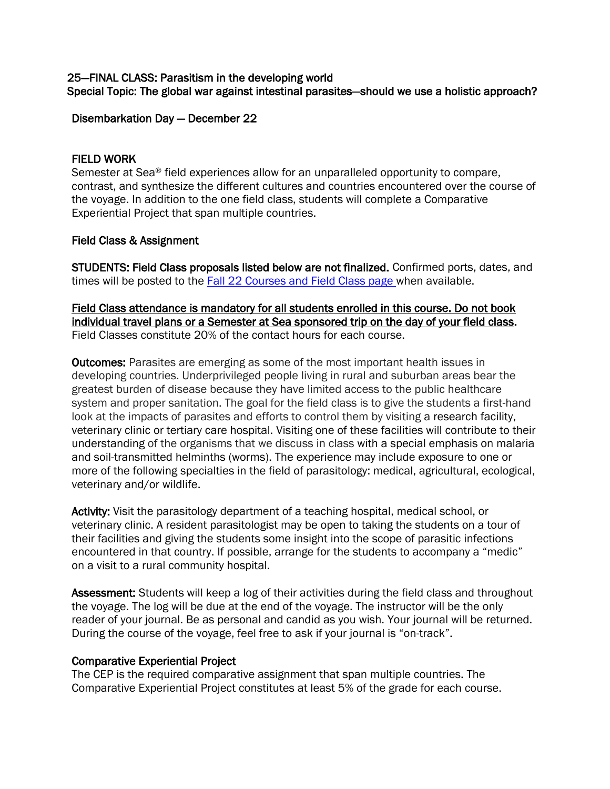## 25—FINAL CLASS: Parasitism in the developing world

Special Topic: The global war against intestinal parasites—should we use a holistic approach?

Disembarkation Day — December 22

## FIELD WORK

Semester at Sea® field experiences allow for an unparalleled opportunity to compare, contrast, and synthesize the different cultures and countries encountered over the course of the voyage. In addition to the one field class, students will complete a Comparative Experiential Project that span multiple countries.

# Field Class & Assignment

STUDENTS: Field Class proposals listed below are not finalized. Confirmed ports, dates, and times will be posted to the Fall 22 [Courses and Field Class page](https://www.semesteratsea.org/voyages/fall-2022/courses/) when available.

Field Class attendance is mandatory for all students enrolled in this course. Do not book individual travel plans or a Semester at Sea sponsored trip on the day of your field class. Field Classes constitute 20% of the contact hours for each course.

Outcomes: Parasites are emerging as some of the most important health issues in developing countries. Underprivileged people living in rural and suburban areas bear the greatest burden of disease because they have limited access to the public healthcare system and proper sanitation. The goal for the field class is to give the students a first-hand look at the impacts of parasites and efforts to control them by visiting a research facility, veterinary clinic or tertiary care hospital. Visiting one of these facilities will contribute to their understanding of the organisms that we discuss in class with a special emphasis on malaria and soil-transmitted helminths (worms). The experience may include exposure to one or more of the following specialties in the field of parasitology: medical, agricultural, ecological, veterinary and/or wildlife.

Activity: Visit the parasitology department of a teaching hospital, medical school, or veterinary clinic. A resident parasitologist may be open to taking the students on a tour of their facilities and giving the students some insight into the scope of parasitic infections encountered in that country. If possible, arrange for the students to accompany a "medic" on a visit to a rural community hospital.

Assessment: Students will keep a log of their activities during the field class and throughout the voyage. The log will be due at the end of the voyage. The instructor will be the only reader of your journal. Be as personal and candid as you wish. Your journal will be returned. During the course of the voyage, feel free to ask if your journal is "on-track".

## Comparative Experiential Project

The CEP is the required comparative assignment that span multiple countries. The Comparative Experiential Project constitutes at least 5% of the grade for each course.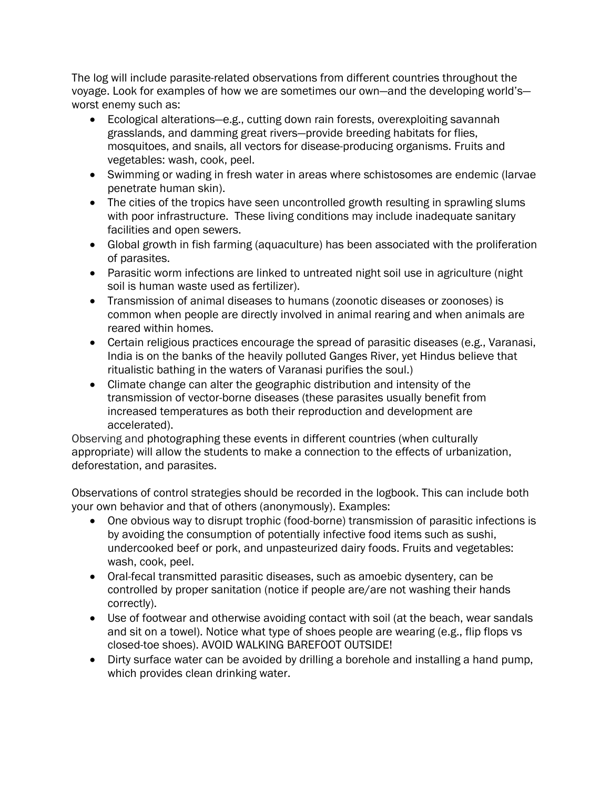The log will include parasite-related observations from different countries throughout the voyage. Look for examples of how we are sometimes our own—and the developing world's worst enemy such as:

- Ecological alterations—e.g., cutting down rain forests, overexploiting savannah grasslands, and damming great rivers—provide breeding habitats for flies, mosquitoes, and snails, all vectors for disease-producing organisms. Fruits and vegetables: wash, cook, peel.
- Swimming or wading in fresh water in areas where schistosomes are endemic (larvae penetrate human skin).
- The cities of the tropics have seen uncontrolled growth resulting in sprawling slums with poor infrastructure. These living conditions may include inadequate sanitary facilities and open sewers.
- Global growth in fish farming (aquaculture) has been associated with the proliferation of parasites.
- Parasitic worm infections are linked to untreated night soil use in agriculture (night soil is human waste used as fertilizer).
- Transmission of animal diseases to humans (zoonotic diseases or zoonoses) is common when people are directly involved in animal rearing and when animals are reared within homes.
- Certain religious practices encourage the spread of parasitic diseases (e.g., Varanasi, India is on the banks of the heavily polluted Ganges River, yet Hindus believe that ritualistic bathing in the waters of Varanasi purifies the soul.)
- Climate change can alter the geographic distribution and intensity of the transmission of vector-borne diseases (these parasites usually benefit from increased temperatures as both their reproduction and development are accelerated).

Observing and photographing these events in different countries (when culturally appropriate) will allow the students to make a connection to the effects of urbanization, deforestation, and parasites.

Observations of control strategies should be recorded in the logbook. This can include both your own behavior and that of others (anonymously). Examples:

- One obvious way to disrupt trophic (food-borne) transmission of parasitic infections is by avoiding the consumption of potentially infective food items such as sushi, undercooked beef or pork, and unpasteurized dairy foods. Fruits and vegetables: wash, cook, peel.
- Oral-fecal transmitted parasitic diseases, such as amoebic dysentery, can be controlled by proper sanitation (notice if people are/are not washing their hands correctly).
- Use of footwear and otherwise avoiding contact with soil (at the beach, wear sandals and sit on a towel). Notice what type of shoes people are wearing (e.g., flip flops vs closed-toe shoes). AVOID WALKING BAREFOOT OUTSIDE!
- Dirty surface water can be avoided by drilling a borehole and installing a hand pump, which provides clean drinking water.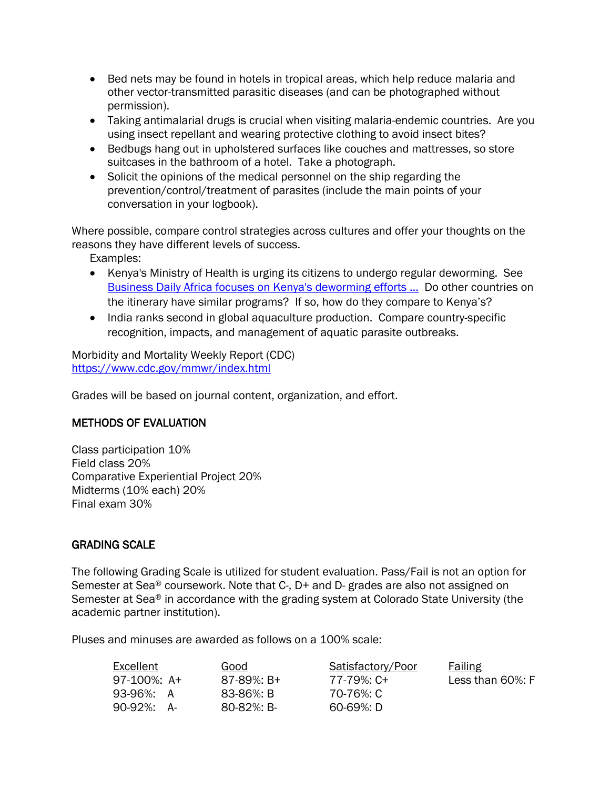- Bed nets may be found in hotels in tropical areas, which help reduce malaria and other vector-transmitted parasitic diseases (and can be photographed without permission).
- Taking antimalarial drugs is crucial when visiting malaria-endemic countries. Are you using insect repellant and wearing protective clothing to avoid insect bites?
- Bedbugs hang out in upholstered surfaces like couches and mattresses, so store suitcases in the bathroom of a hotel. Take a photograph.
- Solicit the opinions of the medical personnel on the ship regarding the prevention/control/treatment of parasites (include the main points of your conversation in your logbook).

Where possible, compare control strategies across cultures and offer your thoughts on the reasons they have different levels of success.

Examples:

- Kenya's Ministry of Health is urging its citizens to undergo regular deworming. See [Business Daily Africa focuses on Kenya's deworming efforts ...](http://www.thiswormyworld.org/news-blogs/news/business-daily-africa-focuses-on-kenyas-deworming-efforts) Do other countries on the itinerary have similar programs? If so, how do they compare to Kenya's?
- India ranks second in global aquaculture production. Compare country-specific recognition, impacts, and management of aquatic parasite outbreaks.

Morbidity and Mortality Weekly Report (CDC) <https://www.cdc.gov/mmwr/index.html>

Grades will be based on journal content, organization, and effort.

# METHODS OF EVALUATION

Class participation 10% Field class 20% Comparative Experiential Project 20% Midterms (10% each) 20% Final exam 30%

## GRADING SCALE

The following Grading Scale is utilized for student evaluation. Pass/Fail is not an option for Semester at Sea® coursework. Note that C-, D+ and D- grades are also not assigned on Semester at Sea® in accordance with the grading system at Colorado State University (the academic partner institution).

Pluses and minuses are awarded as follows on a 100% scale:

| Excellent      | Good       | Satisfactory/Poor | <b>Failing</b>       |
|----------------|------------|-------------------|----------------------|
| 97-100%: A+    | 87-89%: B+ | 77-79%: C+        | Less than $60\%$ : F |
| 93-96%: A      | 83-86%: B  | 70-76%: C         |                      |
| $90-92\%$ : A- | 80-82%: B- | 60-69%: D         |                      |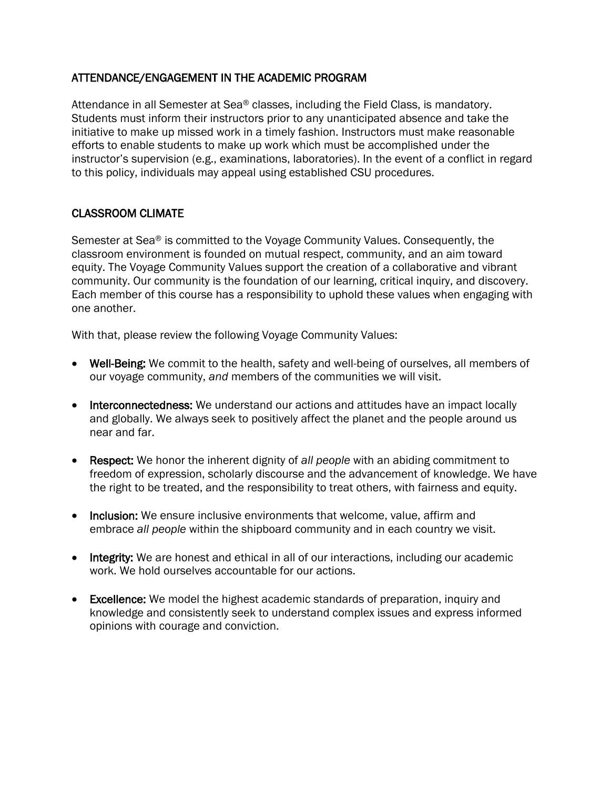# ATTENDANCE/ENGAGEMENT IN THE ACADEMIC PROGRAM

Attendance in all Semester at Sea® classes, including the Field Class, is mandatory. Students must inform their instructors prior to any unanticipated absence and take the initiative to make up missed work in a timely fashion. Instructors must make reasonable efforts to enable students to make up work which must be accomplished under the instructor's supervision (e.g., examinations, laboratories). In the event of a conflict in regard to this policy, individuals may appeal using established CSU procedures.

# CLASSROOM CLIMATE

Semester at Sea® is committed to the Voyage Community Values. Consequently, the classroom environment is founded on mutual respect, community, and an aim toward equity. The Voyage Community Values support the creation of a collaborative and vibrant community. Our community is the foundation of our learning, critical inquiry, and discovery. Each member of this course has a responsibility to uphold these values when engaging with one another.

With that, please review the following Voyage Community Values:

- Well-Being: We commit to the health, safety and well-being of ourselves, all members of our voyage community, *and* members of the communities we will visit.
- Interconnectedness: We understand our actions and attitudes have an impact locally and globally. We always seek to positively affect the planet and the people around us near and far.
- Respect: We honor the inherent dignity of *all people* with an abiding commitment to freedom of expression, scholarly discourse and the advancement of knowledge. We have the right to be treated, and the responsibility to treat others, with fairness and equity.
- Inclusion: We ensure inclusive environments that welcome, value, affirm and embrace *all people* within the shipboard community and in each country we visit.
- Integrity: We are honest and ethical in all of our interactions, including our academic work. We hold ourselves accountable for our actions.
- Excellence: We model the highest academic standards of preparation, inquiry and knowledge and consistently seek to understand complex issues and express informed opinions with courage and conviction.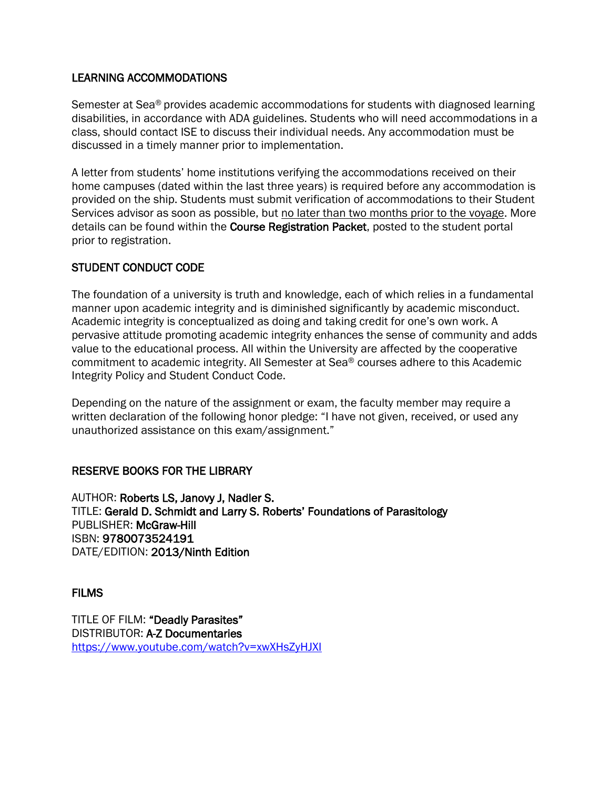## LEARNING ACCOMMODATIONS

Semester at Sea® provides academic accommodations for students with diagnosed learning disabilities, in accordance with ADA guidelines. Students who will need accommodations in a class, should contact ISE to discuss their individual needs. Any accommodation must be discussed in a timely manner prior to implementation.

A letter from students' home institutions verifying the accommodations received on their home campuses (dated within the last three years) is required before any accommodation is provided on the ship. Students must submit verification of accommodations to their Student Services advisor as soon as possible, but no later than two months prior to the voyage. More details can be found within the Course Registration Packet, posted to the student portal prior to registration.

# STUDENT CONDUCT CODE

The foundation of a university is truth and knowledge, each of which relies in a fundamental manner upon academic integrity and is diminished significantly by academic misconduct. Academic integrity is conceptualized as doing and taking credit for one's own work. A pervasive attitude promoting academic integrity enhances the sense of community and adds value to the educational process. All within the University are affected by the cooperative commitment to academic integrity. All Semester at Sea® courses adhere to this Academic Integrity Policy and Student Conduct Code.

Depending on the nature of the assignment or exam, the faculty member may require a written declaration of the following honor pledge: "I have not given, received, or used any unauthorized assistance on this exam/assignment."

## RESERVE BOOKS FOR THE LIBRARY

AUTHOR: Roberts LS, Janovy J, Nadler S. TITLE: Gerald D. Schmidt and Larry S. Roberts' Foundations of Parasitology PUBLISHER: McGraw-Hill ISBN: 9780073524191 DATE/EDITION: 2013/Ninth Edition

**FILMS** 

TITLE OF FILM: "Deadly Parasites" DISTRIBUTOR: A-Z Documentaries <https://www.youtube.com/watch?v=xwXHsZyHJXI>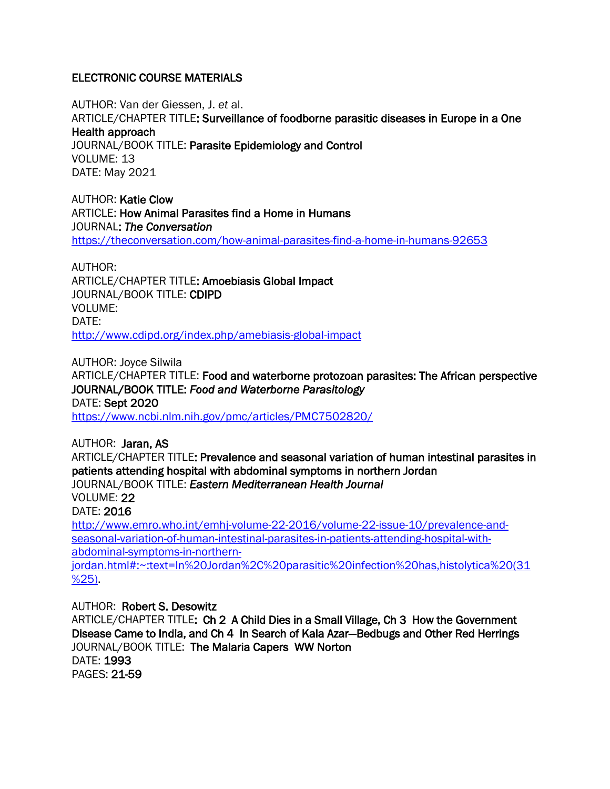#### ELECTRONIC COURSE MATERIALS

AUTHOR: Van der Giessen, J. *et* al. ARTICLE/CHAPTER TITLE: Surveillance of foodborne parasitic diseases in Europe in a One Health approach JOURNAL/BOOK TITLE: Parasite Epidemiology and Control VOLUME: 13 DATE: May 2021

AUTHOR: Katie Clow ARTICLE: How Animal Parasites find a Home in Humans JOURNAL: *The Conversation* <https://theconversation.com/how-animal-parasites-find-a-home-in-humans-92653>

#### AUTHOR:

ARTICLE/CHAPTER TITLE: Amoebiasis Global Impact JOURNAL/BOOK TITLE: CDIPD VOLUME: DATE: <http://www.cdipd.org/index.php/amebiasis-global-impact>

AUTHOR: Joyce Silwila

ARTICLE/CHAPTER TITLE: Food and waterborne protozoan parasites: The African perspective JOURNAL/BOOK TITLE: *Food and Waterborne Parasitology* DATE: Sept 2020

<https://www.ncbi.nlm.nih.gov/pmc/articles/PMC7502820/>

AUTHOR: Jaran, AS

ARTICLE/CHAPTER TITLE: Prevalence and seasonal variation of human intestinal parasites in patients attending hospital with abdominal symptoms in northern Jordan JOURNAL/BOOK TITLE: *Eastern Mediterranean Health Journal* VOLUME: 22

DATE: 2016

[http://www.emro.who.int/emhj-volume-22-2016/volume-22-issue-10/prevalence-and](http://www.emro.who.int/emhj-volume-22-2016/volume-22-issue-10/prevalence-and-seasonal-variation-of-human-intestinal-parasites-in-patients-attending-hospital-with-abdominal-symptoms-in-northern-jordan.html#:~:text=In%20Jordan%2C%20parasitic%20infection%20has,histolytica%20(31%25))[seasonal-variation-of-human-intestinal-parasites-in-patients-attending-hospital-with](http://www.emro.who.int/emhj-volume-22-2016/volume-22-issue-10/prevalence-and-seasonal-variation-of-human-intestinal-parasites-in-patients-attending-hospital-with-abdominal-symptoms-in-northern-jordan.html#:~:text=In%20Jordan%2C%20parasitic%20infection%20has,histolytica%20(31%25))[abdominal-symptoms-in-northern](http://www.emro.who.int/emhj-volume-22-2016/volume-22-issue-10/prevalence-and-seasonal-variation-of-human-intestinal-parasites-in-patients-attending-hospital-with-abdominal-symptoms-in-northern-jordan.html#:~:text=In%20Jordan%2C%20parasitic%20infection%20has,histolytica%20(31%25))[jordan.html#:~:text=In%20Jordan%2C%20parasitic%20infection%20has,histolytica%20\(31](http://www.emro.who.int/emhj-volume-22-2016/volume-22-issue-10/prevalence-and-seasonal-variation-of-human-intestinal-parasites-in-patients-attending-hospital-with-abdominal-symptoms-in-northern-jordan.html#:~:text=In%20Jordan%2C%20parasitic%20infection%20has,histolytica%20(31%25))  $%25$ ).

AUTHOR: Robert S. Desowitz

ARTICLE/CHAPTER TITLE: Ch 2 A Child Dies in a Small Village, Ch 3 How the Government Disease Came to India, and Ch 4 In Search of Kala Azar—Bedbugs and Other Red Herrings JOURNAL/BOOK TITLE: The Malaria Capers WW Norton DATE: 1993 PAGES: 21-59